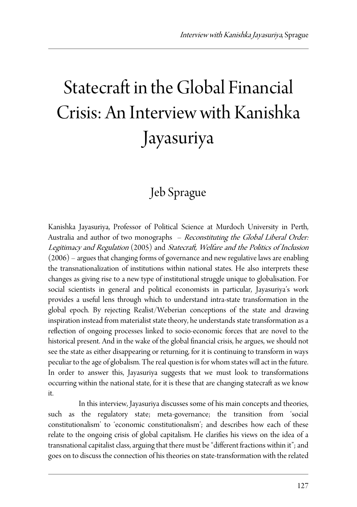## Statecraft in the Global Financial Crisis: An Interview with Kanishka Jayasuriya

## Jeb Sprague

Kanishka Jayasuriya, Professor of Political Science at Murdoch University in Perth, Australia and author of two monographs – Reconstituting the Global Liberal Order: Legitimacy and Regulation (2005) and Statecraft, Welfare and the Politics of Inclusion (2006) – argues that changing forms of governance and new regulative laws are enabling the transnationalization of institutions within national states. He also interprets these changes as giving rise to a new type of institutional struggle unique to globalisation. For social scientists in general and political economists in particular, Jayasuriya's work provides a useful lens through which to understand intra-state transformation in the global epoch. By rejecting Realist/Weberian conceptions of the state and drawing inspiration instead from materialist state theory, he understands state transformation as a reflection of ongoing processes linked to socio-economic forces that are novel to the historical present. And in the wake of the global financial crisis, he argues, we should not see the state as either disappearing or returning, for it is continuing to transform in ways peculiar to the age of globalism. The real question is for whom states will act in the future. In order to answer this, Jayasuriya suggests that we must look to transformations occurring within the national state, for it is these that are changing statecraft as we know it.

 In this interview, Jayasuriya discusses some of his main concepts and theories, such as the regulatory state; meta-governance; the transition from 'social constitutionalism' to 'economic constitutionalism'; and describes how each of these relate to the ongoing crisis of global capitalism. He clarifies his views on the idea of a transnational capitalist class, arguing that there must be "different fractions within it"; and goes on to discuss the connection of his theories on state-transformation with the related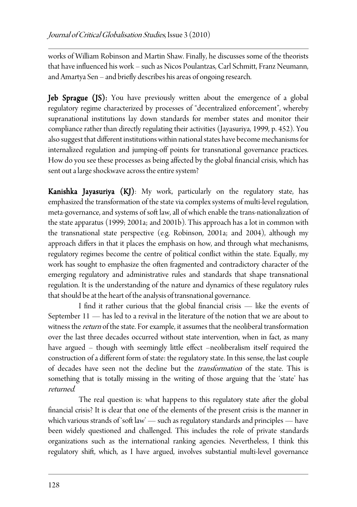works of William Robinson and Martin Shaw. Finally, he discusses some of the theorists that have influenced his work – such as Nicos Poulantzas, Carl Schmitt, Franz Neumann, and Amartya Sen – and briefly describes his areas of ongoing research.

Jeb Sprague (JS): You have previously written about the emergence of a global regulatory regime characterized by processes of "decentralized enforcement", whereby supranational institutions lay down standards for member states and monitor their compliance rather than directly regulating their activities (Jayasuriya, 1999, p. 452). You also suggest that different institutions within national states have become mechanisms for internalized regulation and jumping-off points for transnational governance practices. How do you see these processes as being affected by the global financial crisis, which has sent out a large shockwave across the entire system?

**Kanishka Jayasuriya (KJ)**: My work, particularly on the regulatory state, has emphasized the transformation of the state via complex systems of multi-level regulation, meta-governance, and systems of soft law, all of which enable the trans-nationalization of the state apparatus (1999; 2001a; and 2001b). This approach has a lot in common with the transnational state perspective (e.g. Robinson, 2001a; and 2004), although my approach differs in that it places the emphasis on how, and through what mechanisms, regulatory regimes become the centre of political conflict within the state. Equally, my work has sought to emphasize the often fragmented and contradictory character of the emerging regulatory and administrative rules and standards that shape transnational regulation. It is the understanding of the nature and dynamics of these regulatory rules that should be at the heart of the analysis of transnational governance.

 I find it rather curious that the global financial crisis — like the events of September 11 — has led to a revival in the literature of the notion that we are about to witness the *return* of the state. For example, it assumes that the neoliberal transformation over the last three decades occurred without state intervention, when in fact, as many have argued – though with seemingly little effect –neoliberalism itself required the construction of a different form of state: the regulatory state. In this sense, the last couple of decades have seen not the decline but the transformation of the state. This is something that is totally missing in the writing of those arguing that the 'state' has returned.

 The real question is: what happens to this regulatory state after the global financial crisis? It is clear that one of the elements of the present crisis is the manner in which various strands of 'soft law' — such as regulatory standards and principles — have been widely questioned and challenged. This includes the role of private standards organizations such as the international ranking agencies. Nevertheless, I think this regulatory shift, which, as I have argued, involves substantial multi-level governance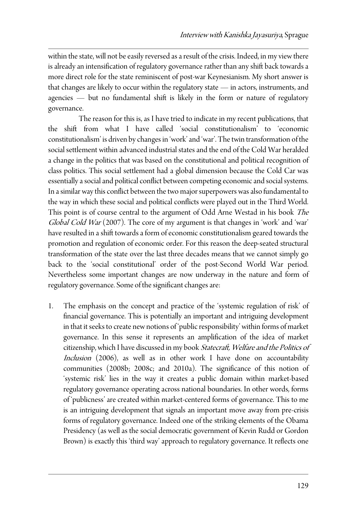within the state, will not be easily reversed as a result of the crisis. Indeed, in my view there is already an intensification of regulatory governance rather than any shift back towards a more direct role for the state reminiscent of post-war Keynesianism. My short answer is that changes are likely to occur within the regulatory state — in actors, instruments, and agencies — but no fundamental shift is likely in the form or nature of regulatory governance.

 The reason for this is, as I have tried to indicate in my recent publications, that the shift from what I have called 'social constitutionalism' to 'economic constitutionalism' is driven by changes in 'work' and 'war'. The twin transformation of the social settlement within advanced industrial states and the end of the Cold War heralded a change in the politics that was based on the constitutional and political recognition of class politics. This social settlement had a global dimension because the Cold Car was essentially a social and political conflict between competing economic and social systems. In a similar way this conflict between the two major superpowers was also fundamental to the way in which these social and political conflicts were played out in the Third World. This point is of course central to the argument of Odd Arne Westad in his book The Global Cold War (2007). The core of my argument is that changes in 'work' and 'war' have resulted in a shift towards a form of economic constitutionalism geared towards the promotion and regulation of economic order. For this reason the deep-seated structural transformation of the state over the last three decades means that we cannot simply go back to the 'social constitutional' order of the post-Second World War period. Nevertheless some important changes are now underway in the nature and form of regulatory governance. Some of the significant changes are:

1. The emphasis on the concept and practice of the 'systemic regulation of risk' of financial governance. This is potentially an important and intriguing development in that it seeks to create new notions of 'public responsibility' within forms of market governance. In this sense it represents an amplification of the idea of market citizenship, which I have discussed in my book Statecraft, Welfare and the Politics of Inclusion (2006), as well as in other work I have done on accountability communities (2008b; 2008c; and 2010a). The significance of this notion of 'systemic risk' lies in the way it creates a public domain within market-based regulatory governance operating across national boundaries. In other words, forms of 'publicness' are created within market-centered forms of governance. This to me is an intriguing development that signals an important move away from pre-crisis forms of regulatory governance. Indeed one of the striking elements of the Obama Presidency (as well as the social democratic government of Kevin Rudd or Gordon Brown) is exactly this 'third way' approach to regulatory governance. It reflects one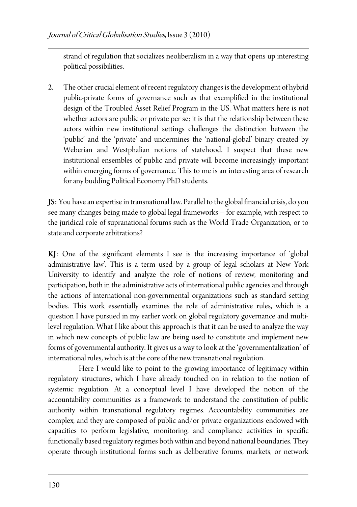strand of regulation that socializes neoliberalism in a way that opens up interesting political possibilities.

2. The other crucial element of recent regulatory changes is the development of hybrid public-private forms of governance such as that exemplified in the institutional design of the Troubled Asset Relief Program in the US. What matters here is not whether actors are public or private per se; it is that the relationship between these actors within new institutional settings challenges the distinction between the 'public' and the 'private' and undermines the 'national-global' binary created by Weberian and Westphalian notions of statehood. I suspect that these new institutional ensembles of public and private will become increasingly important within emerging forms of governance. This to me is an interesting area of research for any budding Political Economy PhD students.

JS: You have an expertise in transnational law. Parallel to the global financial crisis, do you see many changes being made to global legal frameworks – for example, with respect to the juridical role of supranational forums such as the World Trade Organization, or to state and corporate arbitrations?

 $KJ:$  One of the significant elements I see is the increasing importance of 'global administrative law'. This is a term used by a group of legal scholars at New York University to identify and analyze the role of notions of review, monitoring and participation, both in the administrative acts of international public agencies and through the actions of international non-governmental organizations such as standard setting bodies. This work essentially examines the role of administrative rules, which is a question I have pursued in my earlier work on global regulatory governance and multilevel regulation. What I like about this approach is that it can be used to analyze the way in which new concepts of public law are being used to constitute and implement new forms of governmental authority. It gives us a way to look at the 'governmentalization' of international rules, which is at the core of the new transnational regulation.

 Here I would like to point to the growing importance of legitimacy within regulatory structures, which I have already touched on in relation to the notion of systemic regulation. At a conceptual level I have developed the notion of the accountability communities as a framework to understand the constitution of public authority within transnational regulatory regimes. Accountability communities are complex, and they are composed of public and/or private organizations endowed with capacities to perform legislative, monitoring, and compliance activities in specific functionally based regulatory regimes both within and beyond national boundaries. They operate through institutional forms such as deliberative forums, markets, or network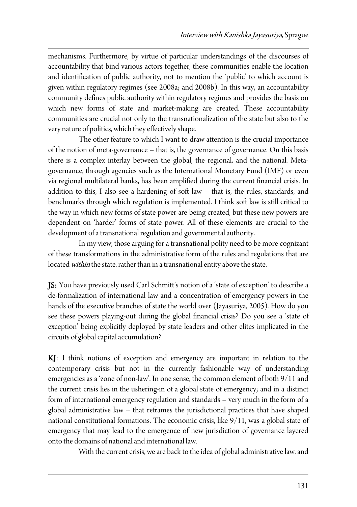mechanisms. Furthermore, by virtue of particular understandings of the discourses of accountability that bind various actors together, these communities enable the location and identification of public authority, not to mention the 'public' to which account is given within regulatory regimes (see 2008a; and 2008b). In this way, an accountability community defines public authority within regulatory regimes and provides the basis on which new forms of state and market-making are created. These accountability communities are crucial not only to the transnationalization of the state but also to the very nature of politics, which they effectively shape.

 The other feature to which I want to draw attention is the crucial importance of the notion of meta-governance – that is, the governance of governance. On this basis there is a complex interlay between the global, the regional, and the national. Metagovernance, through agencies such as the International Monetary Fund (IMF) or even via regional multilateral banks, has been amplified during the current financial crisis. In addition to this, I also see a hardening of soft law – that is, the rules, standards, and benchmarks through which regulation is implemented. I think soft law is still critical to the way in which new forms of state power are being created, but these new powers are dependent on 'harder' forms of state power. All of these elements are crucial to the development of a transnational regulation and governmental authority.

 In my view, those arguing for a transnational polity need to be more cognizant of these transformations in the administrative form of the rules and regulations that are located within the state, rather than in a transnational entity above the state.

JS: You have previously used Carl Schmitt's notion of a 'state of exception' to describe a de-formalization of international law and a concentration of emergency powers in the hands of the executive branches of state the world over (Jayasuriya, 2005). How do you see these powers playing-out during the global financial crisis? Do you see a 'state of exception' being explicitly deployed by state leaders and other elites implicated in the circuits of global capital accumulation?

KJ: I think notions of exception and emergency are important in relation to the contemporary crisis but not in the currently fashionable way of understanding emergencies as a 'zone of non-law'. In one sense, the common element of both 9/11 and the current crisis lies in the ushering-in of a global state of emergency; and in a distinct form of international emergency regulation and standards – very much in the form of a global administrative law – that reframes the jurisdictional practices that have shaped national constitutional formations. The economic crisis, like 9/11, was a global state of emergency that may lead to the emergence of new jurisdiction of governance layered onto the domains of national and international law.

With the current crisis, we are back to the idea of global administrative law, and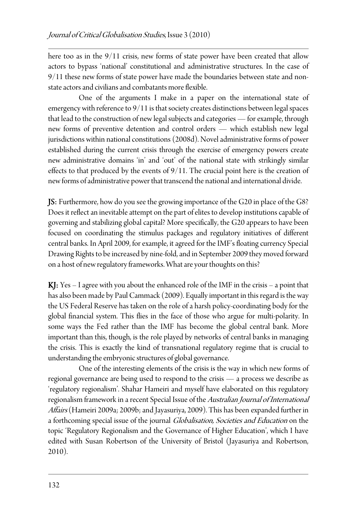here too as in the 9/11 crisis, new forms of state power have been created that allow actors to bypass 'national' constitutional and administrative structures. In the case of 9/11 these new forms of state power have made the boundaries between state and nonstate actors and civilians and combatants more flexible.

 One of the arguments I make in a paper on the international state of emergency with reference to 9/11 is that society creates distinctions between legal spaces that lead to the construction of new legal subjects and categories — for example, through new forms of preventive detention and control orders — which establish new legal jurisdictions within national constitutions (2008d). Novel administrative forms of power established during the current crisis through the exercise of emergency powers create new administrative domains 'in' and 'out' of the national state with strikingly similar effects to that produced by the events of 9/11. The crucial point here is the creation of new forms of administrative power that transcend the national and international divide.

JS: Furthermore, how do you see the growing importance of the G20 in place of the G8? Does it reflect an inevitable attempt on the part of elites to develop institutions capable of governing and stabilizing global capital? More specifically, the G20 appears to have been focused on coordinating the stimulus packages and regulatory initiatives of different central banks. In April 2009, for example, it agreed for the IMF's floating currency Special Drawing Rights to be increased by nine-fold, and in September 2009 they moved forward on a host of new regulatory frameworks. What are your thoughts on this?

KJ: Yes – I agree with you about the enhanced role of the IMF in the crisis – a point that has also been made by Paul Cammack (2009). Equally important in this regard is the way the US Federal Reserve has taken on the role of a harsh policy-coordinating body for the global financial system. This flies in the face of those who argue for multi-polarity. In some ways the Fed rather than the IMF has become the global central bank. More important than this, though, is the role played by networks of central banks in managing the crisis. This is exactly the kind of transnational regulatory regime that is crucial to understanding the embryonic structures of global governance.

 One of the interesting elements of the crisis is the way in which new forms of regional governance are being used to respond to the crisis — a process we describe as 'regulatory regionalism'. Shahar Hameiri and myself have elaborated on this regulatory regionalism framework in a recent Special Issue of the Australian Journal of International Affairs (Hameiri 2009a; 2009b; and Jayasuriya, 2009). This has been expanded further in a forthcoming special issue of the journal Globalisation, Societies and Education on the topic 'Regulatory Regionalism and the Governance of Higher Education', which I have edited with Susan Robertson of the University of Bristol (Jayasuriya and Robertson, 2010).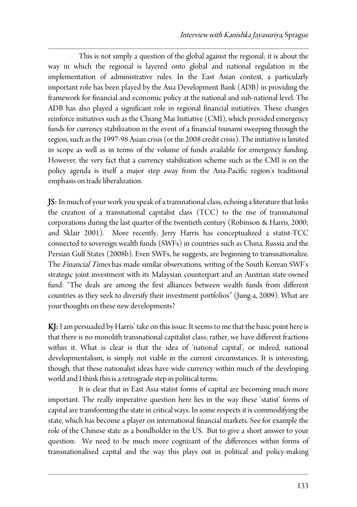This is not simply a question of the global against the regional; it is about the way in which the regional is layered onto global and national regulation in the implementation of administrative rules. In the East Asian context, a particularly important role has been played by the Asia Development Bank (ADB) in providing the framework for financial and economic policy at the national and sub-national level. The ADB has also played a significant role in regional financial initiatives. These changes reinforce initiatives such as the Chiang Mai Initiative (CMI), which provided emergency funds for currency stabilization in the event of a financial tsunami sweeping through the region, such as the 1997-98 Asian crisis (or the 2008 credit crisis). The initiative is limited in scope as well as in terms of the volume of funds available for emergency funding. However, the very fact that a currency stabilization scheme such as the CMI is on the policy agenda is itself a major step away from the Asia-Pacific region's traditional emphasis on trade liberalization.

JS: In much of your work you speak of a transnational class, echoing a literature that links the creation of a transnational capitalist class (TCC) to the rise of transnational corporations during the last quarter of the twentieth century (Robinson & Harris, 2000; and Sklair 2001). More recently, Jerry Harris has conceptualized a statist-TCC connected to sovereign wealth funds (SWFs) in countries such as China, Russia and the Persian Gulf States (2008b). Even SWFs, he suggests, are beginning to transnationalize. The Financial Times has made similar observations, writing of the South Korean SWF's strategic joint investment with its Malaysian counterpart and an Austrian state-owned fund: "The deals are among the first alliances between wealth funds from different countries as they seek to diversify their investment portfolios" (Jung-a, 2009). What are your thoughts on these new developments?

KJ: I am persuaded by Harris' take on this issue. It seems to me that the basic point here is that there is no monolith transnational capitalist class; rather, we have different fractions within it. What is clear is that the idea of 'national capital', or indeed, national developmentalism, is simply not viable in the current circumstances. It is interesting, though, that these nationalist ideas have wide currency within much of the developing world and I think this is a retrograde step in political terms.

 It is clear that in East Asia statist forms of capital are becoming much more important. The really imperative question here lies in the way these 'statist' forms of capital are transforming the state in critical ways. In some respects it is commodifying the state, which has become a player on international financial markets. See for example the role of the Chinese state as a bondholder in the US. But to give a short answer to your question: We need to be much more cognizant of the differences within forms of transnationalised capital and the way this plays out in political and policy-making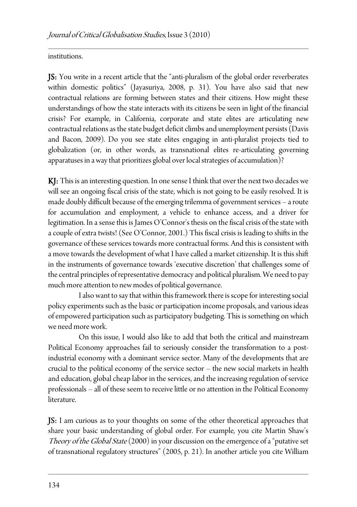institutions.

JS: You write in a recent article that the "anti-pluralism of the global order reverberates within domestic politics" (Jayasuriya, 2008, p. 31). You have also said that new contractual relations are forming between states and their citizens. How might these understandings of how the state interacts with its citizens be seen in light of the financial crisis? For example, in California, corporate and state elites are articulating new contractual relations as the state budget deficit climbs and unemployment persists (Davis and Bacon, 2009). Do you see state elites engaging in anti-pluralist projects tied to globalization (or, in other words, as transnational elites re-articulating governing apparatuses in a way that prioritizes global over local strategies of accumulation)?

KJ: This is an interesting question. In one sense I think that over the next two decades we will see an ongoing fiscal crisis of the state, which is not going to be easily resolved. It is made doubly difficult because of the emerging trilemma of government services – a route for accumulation and employment, a vehicle to enhance access, and a driver for legitimation. In a sense this is James O'Connor's thesis on the fiscal crisis of the state with a couple of extra twists! (See O'Connor, 2001.) This fiscal crisis is leading to shifts in the governance of these services towards more contractual forms. And this is consistent with a move towards the development of what I have called a market citizenship. It is this shift in the instruments of governance towards 'executive discretion' that challenges some of the central principles of representative democracy and political pluralism. We need to pay much more attention to new modes of political governance.

 I also want to say that within this framework there is scope for interesting social policy experiments such as the basic or participation income proposals, and various ideas of empowered participation such as participatory budgeting. This is something on which we need more work.

 On this issue, I would also like to add that both the critical and mainstream Political Economy approaches fail to seriously consider the transformation to a postindustrial economy with a dominant service sector. Many of the developments that are crucial to the political economy of the service sector – the new social markets in health and education, global cheap labor in the services, and the increasing regulation of service professionals – all of these seem to receive little or no attention in the Political Economy literature.

JS: I am curious as to your thoughts on some of the other theoretical approaches that share your basic understanding of global order. For example, you cite Martin Shaw's Theory of the Global State (2000) in your discussion on the emergence of a "putative set of transnational regulatory structures" (2005, p. 21). In another article you cite William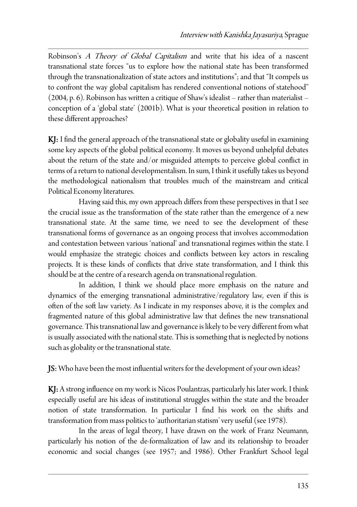Robinson's A Theory of Global Capitalism and write that his idea of a nascent transnational state forces "us to explore how the national state has been transformed through the transnationalization of state actors and institutions"; and that "It compels us to confront the way global capitalism has rendered conventional notions of statehood" (2004, p. 6). Robinson has written a critique of Shaw's idealist – rather than materialist – conception of a 'global state' (2001b). What is your theoretical position in relation to these different approaches?

KJ: I find the general approach of the transnational state or globality useful in examining some key aspects of the global political economy. It moves us beyond unhelpful debates about the return of the state and/or misguided attempts to perceive global conflict in terms of a return to national developmentalism. In sum, I think it usefully takes us beyond the methodological nationalism that troubles much of the mainstream and critical Political Economy literatures.

 Having said this, my own approach differs from these perspectives in that I see the crucial issue as the transformation of the state rather than the emergence of a new transnational state. At the same time, we need to see the development of these transnational forms of governance as an ongoing process that involves accommodation and contestation between various 'national' and transnational regimes within the state. I would emphasize the strategic choices and conflicts between key actors in rescaling projects. It is these kinds of conflicts that drive state transformation, and I think this should be at the centre of a research agenda on transnational regulation.

 In addition, I think we should place more emphasis on the nature and dynamics of the emerging transnational administrative/regulatory law, even if this is often of the soft law variety. As I indicate in my responses above, it is the complex and fragmented nature of this global administrative law that defines the new transnational governance. This transnational law and governance is likely to be very different from what is usually associated with the national state. This is something that is neglected by notions such as globality or the transnational state.

**JS:** Who have been the most influential writers for the development of your own ideas?

KJ: A strong influence on my work is Nicos Poulantzas, particularly his later work. I think especially useful are his ideas of institutional struggles within the state and the broader notion of state transformation. In particular I find his work on the shifts and transformation from mass politics to 'authoritarian statism' very useful (see 1978).

 In the areas of legal theory, I have drawn on the work of Franz Neumann, particularly his notion of the de-formalization of law and its relationship to broader economic and social changes (see 1957; and 1986). Other Frankfurt School legal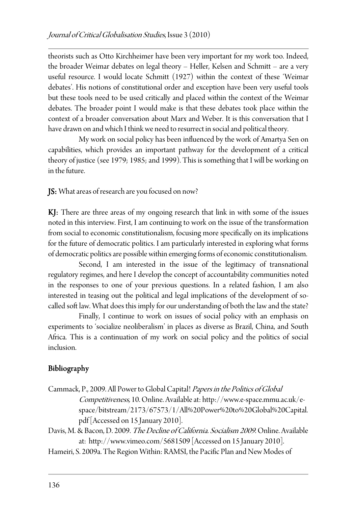theorists such as Otto Kirchheimer have been very important for my work too. Indeed, the broader Weimar debates on legal theory – Heller, Kelsen and Schmitt – are a very useful resource. I would locate Schmitt (1927) within the context of these 'Weimar debates'. His notions of constitutional order and exception have been very useful tools but these tools need to be used critically and placed within the context of the Weimar debates. The broader point I would make is that these debates took place within the context of a broader conversation about Marx and Weber. It is this conversation that I have drawn on and which I think we need to resurrect in social and political theory.

 My work on social policy has been influenced by the work of Amartya Sen on capabilities, which provides an important pathway for the development of a critical theory of justice (see 1979; 1985; and 1999). This is something that I will be working on in the future.

JS: What areas of research are you focused on now?

 $KJ:$  There are three areas of my ongoing research that link in with some of the issues noted in this interview. First, I am continuing to work on the issue of the transformation from social to economic constitutionalism, focusing more specifically on its implications for the future of democratic politics. I am particularly interested in exploring what forms of democratic politics are possible within emerging forms of economic constitutionalism.

 Second, I am interested in the issue of the legitimacy of transnational regulatory regimes, and here I develop the concept of accountability communities noted in the responses to one of your previous questions. In a related fashion, I am also interested in teasing out the political and legal implications of the development of socalled soft law. What does this imply for our understanding of both the law and the state?

 Finally, I continue to work on issues of social policy with an emphasis on experiments to 'socialize neoliberalism' in places as diverse as Brazil, China, and South Africa. This is a continuation of my work on social policy and the politics of social inclusion.

## Bibliography

- Cammack, P., 2009. All Power to Global Capital! Papers in the Politics of Global Competitiveness, 10. Online. Available at: http://www.e-space.mmu.ac.uk/espace/bitstream/2173/67573/1/All%20Power%20to%20Global%20Capital. pdf [Accessed on 15 January 2010].
- Davis, M. & Bacon, D. 2009. The Decline of California. Socialism 2009. Online. Available at: http://www.vimeo.com/5681509 [Accessed on 15 January 2010].
- Hameiri, S. 2009a. The Region Within: RAMSI, the Pacific Plan and New Modes of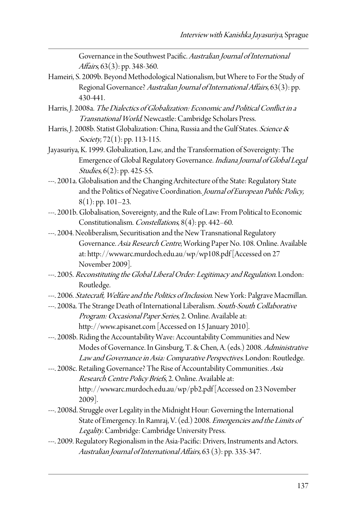Governance in the Southwest Pacific. Australian Journal of International Affairs, 63(3): pp. 348-360.

- Hameiri, S. 2009b. Beyond Methodological Nationalism, but Where to For the Study of Regional Governance? Australian Journal of International Affairs, 63(3): pp. 430-441.
- Harris, J. 2008a. The Dialectics of Globalization: Economic and Political Conflict in a Transnational World. Newcastle: Cambridge Scholars Press.
- Harris, J. 2008b. Statist Globalization: China, Russia and the Gulf States. Science & Society,  $72(1)$ : pp. 113-115.
- Jayasuriya, K. 1999. Globalization, Law, and the Transformation of Sovereignty: The Emergence of Global Regulatory Governance. Indiana Journal of Global Legal Studies, 6(2): pp. 425-55.
- ---. 2001a. Globalisation and the Changing Architecture of the State: Regulatory State and the Politics of Negative Coordination. Journal of European Public Policy,  $8(1)$ : pp. 101–23.
- ---. 2001b. Globalisation, Sovereignty, and the Rule of Law: From Political to Economic Constitutionalism. Constellations, 8(4): pp. 442–60.
- ---. 2004. Neoliberalism, Securitisation and the New Transnational Regulatory Governance. Asia Research Centre, Working Paper No. 108. Online. Available at: http://wwwarc.murdoch.edu.au/wp/wp108.pdf [Accessed on 27 November 2009].
- ---. 2005. Reconstituting the Global Liberal Order: Legitimacy and Regulation. London: Routledge.
- ---. 2006. Statecraft, Welfare and the Politics of Inclusion. New York: Palgrave Macmillan.
- ---. 2008a. The Strange Death of International Liberalism. South-South Collaborative Program: Occasional Paper Series, 2. Online. Available at: http://www.apisanet.com [Accessed on 15 January 2010].
- ---. 2008b. Riding the Accountability Wave: Accountability Communities and New Modes of Governance. In Ginsburg, T. & Chen, A. (eds.) 2008. Administrative Law and Governance in Asia: Comparative Perspectives. London: Routledge.
- ---. 2008c. Retailing Governance? The Rise of Accountability Communities. Asia Research Centre Policy Briefs, 2. Online. Available at: http://wwwarc.murdoch.edu.au/wp/pb2.pdf [Accessed on 23 November 2009].
- ---. 2008d. Struggle over Legality in the Midnight Hour: Governing the International State of Emergency. In Ramraj, V. (ed.) 2008. Emergencies and the Limits of Legality. Cambridge: Cambridge University Press.
- ---. 2009. Regulatory Regionalism in the Asia-Pacific: Drivers, Instruments and Actors. Australian Journal of International Affairs, 63 (3): pp. 335-347.